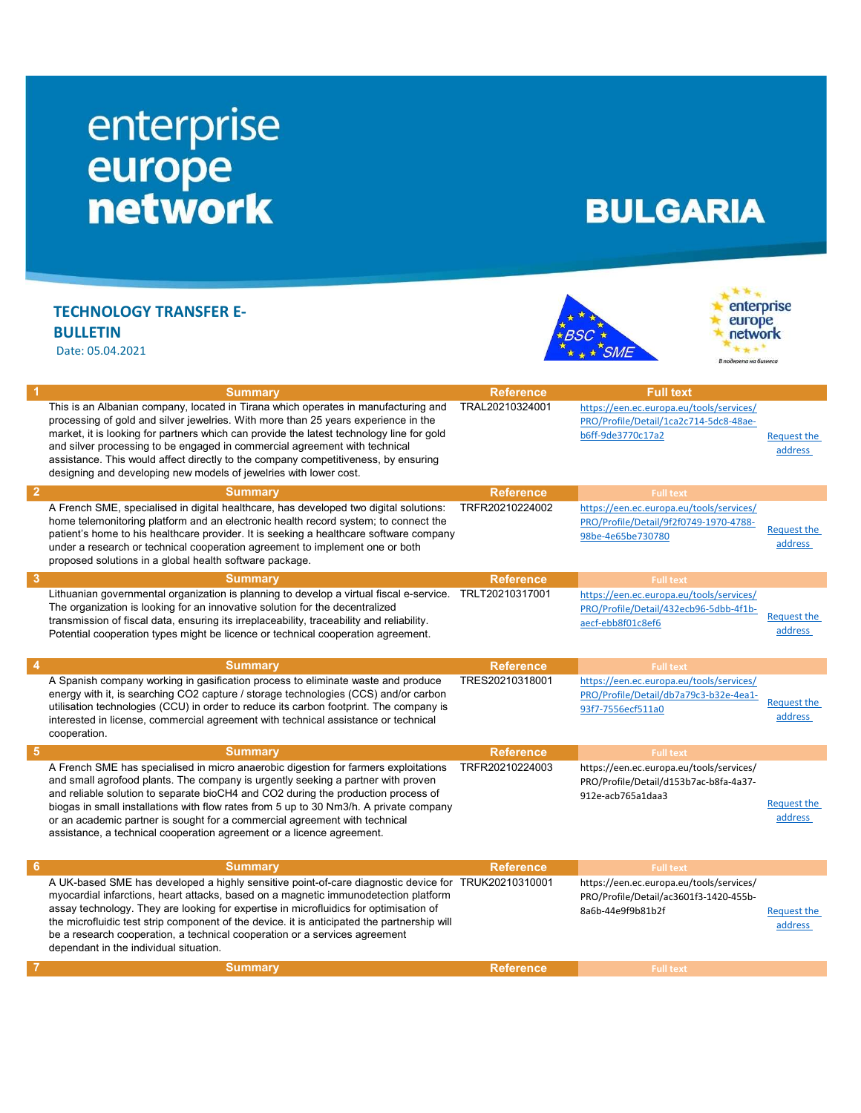## enterprise<br>
europe<br>
network

## **BULGARIA**

## TECHNOLOGY TRANSFER E-BULLETIN

Date: 05.04.2021





| This is an Albanian company, located in Tirana which operates in manufacturing and<br>TRAL20210324001<br>https://een.ec.europa.eu/tools/services/<br>processing of gold and silver jewelries. With more than 25 years experience in the<br>PRO/Profile/Detail/1ca2c714-5dc8-48ae-<br>market, it is looking for partners which can provide the latest technology line for gold<br>b6ff-9de3770c17a2<br><b>Request the</b><br>and silver processing to be engaged in commercial agreement with technical<br>address<br>assistance. This would affect directly to the company competitiveness, by ensuring<br>designing and developing new models of jewelries with lower cost.<br>$\overline{2}$<br><b>Reference</b><br><b>Summary</b><br><b>Full text</b><br>TRFR20210224002<br>A French SME, specialised in digital healthcare, has developed two digital solutions:<br>https://een.ec.europa.eu/tools/services/<br>home telemonitoring platform and an electronic health record system; to connect the<br>PRO/Profile/Detail/9f2f0749-1970-4788-<br><b>Request the</b><br>patient's home to his healthcare provider. It is seeking a healthcare software company<br>98be-4e65be730780<br>address<br>under a research or technical cooperation agreement to implement one or both<br>proposed solutions in a global health software package.<br>3<br><b>Summary</b><br><b>Reference</b><br><b>Full text</b><br>Lithuanian governmental organization is planning to develop a virtual fiscal e-service.<br>TRLT20210317001<br>https://een.ec.europa.eu/tools/services/<br>The organization is looking for an innovative solution for the decentralized<br>PRO/Profile/Detail/432ecb96-5dbb-4f1b-<br>Request the<br>transmission of fiscal data, ensuring its irreplaceability, traceability and reliability.<br>aecf-ebb8f01c8ef6<br>address<br>Potential cooperation types might be licence or technical cooperation agreement.<br>4<br><b>Summary</b><br><b>Reference</b><br><b>Full text</b><br>A Spanish company working in gasification process to eliminate waste and produce<br>TRES20210318001<br>https://een.ec.europa.eu/tools/services/<br>energy with it, is searching CO2 capture / storage technologies (CCS) and/or carbon<br>PRO/Profile/Detail/db7a79c3-b32e-4ea1-<br>Request the |
|---------------------------------------------------------------------------------------------------------------------------------------------------------------------------------------------------------------------------------------------------------------------------------------------------------------------------------------------------------------------------------------------------------------------------------------------------------------------------------------------------------------------------------------------------------------------------------------------------------------------------------------------------------------------------------------------------------------------------------------------------------------------------------------------------------------------------------------------------------------------------------------------------------------------------------------------------------------------------------------------------------------------------------------------------------------------------------------------------------------------------------------------------------------------------------------------------------------------------------------------------------------------------------------------------------------------------------------------------------------------------------------------------------------------------------------------------------------------------------------------------------------------------------------------------------------------------------------------------------------------------------------------------------------------------------------------------------------------------------------------------------------------------------------------------------------------------------------------------------------------------------------------------------------------------------------------------------------------------------------------------------------------------------------------------------------------------------------------------------------------------------------------------------------------------------------------------------------------------------------------------------------------------------------------------|
|                                                                                                                                                                                                                                                                                                                                                                                                                                                                                                                                                                                                                                                                                                                                                                                                                                                                                                                                                                                                                                                                                                                                                                                                                                                                                                                                                                                                                                                                                                                                                                                                                                                                                                                                                                                                                                                                                                                                                                                                                                                                                                                                                                                                                                                                                                   |
|                                                                                                                                                                                                                                                                                                                                                                                                                                                                                                                                                                                                                                                                                                                                                                                                                                                                                                                                                                                                                                                                                                                                                                                                                                                                                                                                                                                                                                                                                                                                                                                                                                                                                                                                                                                                                                                                                                                                                                                                                                                                                                                                                                                                                                                                                                   |
|                                                                                                                                                                                                                                                                                                                                                                                                                                                                                                                                                                                                                                                                                                                                                                                                                                                                                                                                                                                                                                                                                                                                                                                                                                                                                                                                                                                                                                                                                                                                                                                                                                                                                                                                                                                                                                                                                                                                                                                                                                                                                                                                                                                                                                                                                                   |
|                                                                                                                                                                                                                                                                                                                                                                                                                                                                                                                                                                                                                                                                                                                                                                                                                                                                                                                                                                                                                                                                                                                                                                                                                                                                                                                                                                                                                                                                                                                                                                                                                                                                                                                                                                                                                                                                                                                                                                                                                                                                                                                                                                                                                                                                                                   |
|                                                                                                                                                                                                                                                                                                                                                                                                                                                                                                                                                                                                                                                                                                                                                                                                                                                                                                                                                                                                                                                                                                                                                                                                                                                                                                                                                                                                                                                                                                                                                                                                                                                                                                                                                                                                                                                                                                                                                                                                                                                                                                                                                                                                                                                                                                   |
|                                                                                                                                                                                                                                                                                                                                                                                                                                                                                                                                                                                                                                                                                                                                                                                                                                                                                                                                                                                                                                                                                                                                                                                                                                                                                                                                                                                                                                                                                                                                                                                                                                                                                                                                                                                                                                                                                                                                                                                                                                                                                                                                                                                                                                                                                                   |
| utilisation technologies (CCU) in order to reduce its carbon footprint. The company is<br>93f7-7556ecf511a0<br>address<br>interested in license, commercial agreement with technical assistance or technical<br>cooperation.                                                                                                                                                                                                                                                                                                                                                                                                                                                                                                                                                                                                                                                                                                                                                                                                                                                                                                                                                                                                                                                                                                                                                                                                                                                                                                                                                                                                                                                                                                                                                                                                                                                                                                                                                                                                                                                                                                                                                                                                                                                                      |
| $5\phantom{1}$<br><b>Summary</b><br><b>Reference</b><br><b>Full text</b>                                                                                                                                                                                                                                                                                                                                                                                                                                                                                                                                                                                                                                                                                                                                                                                                                                                                                                                                                                                                                                                                                                                                                                                                                                                                                                                                                                                                                                                                                                                                                                                                                                                                                                                                                                                                                                                                                                                                                                                                                                                                                                                                                                                                                          |
| A French SME has specialised in micro anaerobic digestion for farmers exploitations<br>TRFR20210224003<br>https://een.ec.europa.eu/tools/services/<br>and small agrofood plants. The company is urgently seeking a partner with proven<br>PRO/Profile/Detail/d153b7ac-b8fa-4a37-<br>and reliable solution to separate bioCH4 and CO2 during the production process of<br>912e-acb765a1daa3<br><b>Request the</b><br>biogas in small installations with flow rates from 5 up to 30 Nm3/h. A private company<br>address<br>or an academic partner is sought for a commercial agreement with technical<br>assistance, a technical cooperation agreement or a licence agreement.                                                                                                                                                                                                                                                                                                                                                                                                                                                                                                                                                                                                                                                                                                                                                                                                                                                                                                                                                                                                                                                                                                                                                                                                                                                                                                                                                                                                                                                                                                                                                                                                                      |
| 6<br><b>Summary</b><br><b>Reference</b><br><b>Full text</b>                                                                                                                                                                                                                                                                                                                                                                                                                                                                                                                                                                                                                                                                                                                                                                                                                                                                                                                                                                                                                                                                                                                                                                                                                                                                                                                                                                                                                                                                                                                                                                                                                                                                                                                                                                                                                                                                                                                                                                                                                                                                                                                                                                                                                                       |
| A UK-based SME has developed a highly sensitive point-of-care diagnostic device for TRUK20210310001<br>https://een.ec.europa.eu/tools/services/<br>myocardial infarctions, heart attacks, based on a magnetic immunodetection platform<br>PRO/Profile/Detail/ac3601f3-1420-455b-<br>assay technology. They are looking for expertise in microfluidics for optimisation of<br>8a6b-44e9f9b81b2f<br><b>Request the</b><br>the microfluidic test strip component of the device, it is anticipated the partnership will                                                                                                                                                                                                                                                                                                                                                                                                                                                                                                                                                                                                                                                                                                                                                                                                                                                                                                                                                                                                                                                                                                                                                                                                                                                                                                                                                                                                                                                                                                                                                                                                                                                                                                                                                                               |
| address<br>be a research cooperation, a technical cooperation or a services agreement<br>dependant in the individual situation.                                                                                                                                                                                                                                                                                                                                                                                                                                                                                                                                                                                                                                                                                                                                                                                                                                                                                                                                                                                                                                                                                                                                                                                                                                                                                                                                                                                                                                                                                                                                                                                                                                                                                                                                                                                                                                                                                                                                                                                                                                                                                                                                                                   |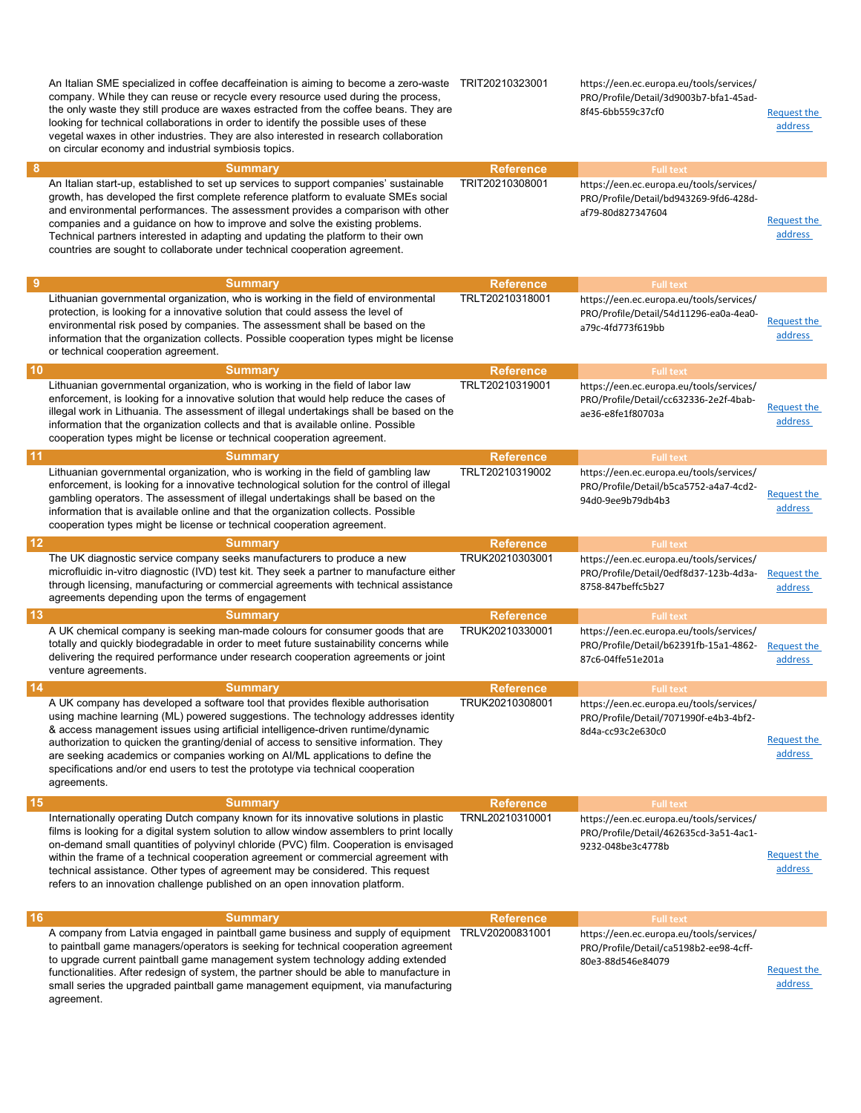|                  | An Italian SME specialized in coffee decaffeination is aiming to become a zero-waste TRIT20210323001<br>company. While they can reuse or recycle every resource used during the process,<br>the only waste they still produce are waxes estracted from the coffee beans. They are<br>looking for technical collaborations in order to identify the possible uses of these<br>vegetal waxes in other industries. They are also interested in research collaboration<br>on circular economy and industrial symbiosis topics.            |                  | https://een.ec.europa.eu/tools/services/<br>PRO/Profile/Detail/3d9003b7-bfa1-45ad-<br>8f45-6bb559c37cf0 | <b>Request the</b><br>address |
|------------------|---------------------------------------------------------------------------------------------------------------------------------------------------------------------------------------------------------------------------------------------------------------------------------------------------------------------------------------------------------------------------------------------------------------------------------------------------------------------------------------------------------------------------------------|------------------|---------------------------------------------------------------------------------------------------------|-------------------------------|
| 8                | <b>Summary</b>                                                                                                                                                                                                                                                                                                                                                                                                                                                                                                                        | <b>Reference</b> | <b>Full text</b>                                                                                        |                               |
|                  | An Italian start-up, established to set up services to support companies' sustainable<br>growth, has developed the first complete reference platform to evaluate SMEs social<br>and environmental performances. The assessment provides a comparison with other<br>companies and a guidance on how to improve and solve the existing problems.<br>Technical partners interested in adapting and updating the platform to their own<br>countries are sought to collaborate under technical cooperation agreement.                      | TRIT20210308001  | https://een.ec.europa.eu/tools/services/<br>PRO/Profile/Detail/bd943269-9fd6-428d-<br>af79-80d827347604 | Request the<br>address        |
| 9                | <b>Summary</b>                                                                                                                                                                                                                                                                                                                                                                                                                                                                                                                        | <b>Reference</b> | <b>Full text</b>                                                                                        |                               |
|                  | Lithuanian governmental organization, who is working in the field of environmental<br>protection, is looking for a innovative solution that could assess the level of<br>environmental risk posed by companies. The assessment shall be based on the<br>information that the organization collects. Possible cooperation types might be license<br>or technical cooperation agreement.                                                                                                                                                | TRLT20210318001  | https://een.ec.europa.eu/tools/services/<br>PRO/Profile/Detail/54d11296-ea0a-4ea0-<br>a79c-4fd773f619bb | Request the<br>address        |
| 10               | <b>Summary</b>                                                                                                                                                                                                                                                                                                                                                                                                                                                                                                                        | <b>Reference</b> | <b>Full text</b>                                                                                        |                               |
|                  | Lithuanian governmental organization, who is working in the field of labor law<br>enforcement, is looking for a innovative solution that would help reduce the cases of<br>illegal work in Lithuania. The assessment of illegal undertakings shall be based on the<br>information that the organization collects and that is available online. Possible<br>cooperation types might be license or technical cooperation agreement.                                                                                                     | TRLT20210319001  | https://een.ec.europa.eu/tools/services/<br>PRO/Profile/Detail/cc632336-2e2f-4bab-<br>ae36-e8fe1f80703a | <b>Request the</b><br>address |
| -11              | <b>Summary</b>                                                                                                                                                                                                                                                                                                                                                                                                                                                                                                                        | <b>Reference</b> | <b>Full text</b>                                                                                        |                               |
|                  | Lithuanian governmental organization, who is working in the field of gambling law<br>enforcement, is looking for a innovative technological solution for the control of illegal<br>gambling operators. The assessment of illegal undertakings shall be based on the<br>information that is available online and that the organization collects. Possible<br>cooperation types might be license or technical cooperation agreement.                                                                                                    | TRLT20210319002  | https://een.ec.europa.eu/tools/services/<br>PRO/Profile/Detail/b5ca5752-a4a7-4cd2-<br>94d0-9ee9b79db4b3 | <b>Request the</b><br>address |
| $12\phantom{.0}$ | <b>Summary</b>                                                                                                                                                                                                                                                                                                                                                                                                                                                                                                                        | <b>Reference</b> | <b>Full text</b>                                                                                        |                               |
|                  | The UK diagnostic service company seeks manufacturers to produce a new<br>microfluidic in-vitro diagnostic (IVD) test kit. They seek a partner to manufacture either<br>through licensing, manufacturing or commercial agreements with technical assistance<br>agreements depending upon the terms of engagement                                                                                                                                                                                                                      | TRUK20210303001  | https://een.ec.europa.eu/tools/services/<br>PRO/Profile/Detail/0edf8d37-123b-4d3a-<br>8758-847beffc5b27 | <b>Request the</b><br>address |
| 13               | <b>Summary</b>                                                                                                                                                                                                                                                                                                                                                                                                                                                                                                                        | <b>Reference</b> | <b>Full text</b>                                                                                        |                               |
|                  | A UK chemical company is seeking man-made colours for consumer goods that are<br>totally and quickly biodegradable in order to meet future sustainability concerns while<br>delivering the required performance under research cooperation agreements or joint<br>venture agreements.                                                                                                                                                                                                                                                 | TRUK20210330001  | https://een.ec.europa.eu/tools/services/<br>PRO/Profile/Detail/b62391fb-15a1-4862-<br>87c6-04ffe51e201a | <b>Request the</b><br>address |
| 14               | <b>Summary</b>                                                                                                                                                                                                                                                                                                                                                                                                                                                                                                                        | <b>Reference</b> | <b>Full text</b>                                                                                        |                               |
|                  | A UK company has developed a software tool that provides flexible authorisation<br>using machine learning (ML) powered suggestions. The technology addresses identity<br>& access management issues using artificial intelligence-driven runtime/dynamic<br>authorization to quicken the granting/denial of access to sensitive information. They<br>are seeking academics or companies working on AI/ML applications to define the<br>specifications and/or end users to test the prototype via technical cooperation<br>agreements. | TRUK20210308001  | https://een.ec.europa.eu/tools/services/<br>PRO/Profile/Detail/7071990f-e4b3-4bf2-<br>8d4a-cc93c2e630c0 | <b>Request the</b><br>address |
| 15               | <b>Summary</b>                                                                                                                                                                                                                                                                                                                                                                                                                                                                                                                        | <b>Reference</b> | <b>Full text</b>                                                                                        |                               |
|                  | Internationally operating Dutch company known for its innovative solutions in plastic<br>films is looking for a digital system solution to allow window assemblers to print locally<br>on-demand small quantities of polyvinyl chloride (PVC) film. Cooperation is envisaged<br>within the frame of a technical cooperation agreement or commercial agreement with<br>technical assistance. Other types of agreement may be considered. This request<br>refers to an innovation challenge published on an open innovation platform.   | TRNL20210310001  | https://een.ec.europa.eu/tools/services/<br>PRO/Profile/Detail/462635cd-3a51-4ac1-<br>9232-048be3c4778b | Request the<br>address        |
| 16               | <b>Summary</b>                                                                                                                                                                                                                                                                                                                                                                                                                                                                                                                        | <b>Reference</b> | <b>Full text</b>                                                                                        |                               |
|                  | A company from Latvia engaged in paintball game business and supply of equipment<br>to paintball game managers/operators is seeking for technical cooperation agreement<br>to upgrade current paintball game management system technology adding extended<br>functionalities. After redesign of system, the partner should be able to manufacture in<br>small series the upgraded paintball game management equipment, via manufacturing<br>agreement.                                                                                | TRLV20200831001  | https://een.ec.europa.eu/tools/services/<br>PRO/Profile/Detail/ca5198b2-ee98-4cff-<br>80e3-88d546e84079 | Request the<br>address        |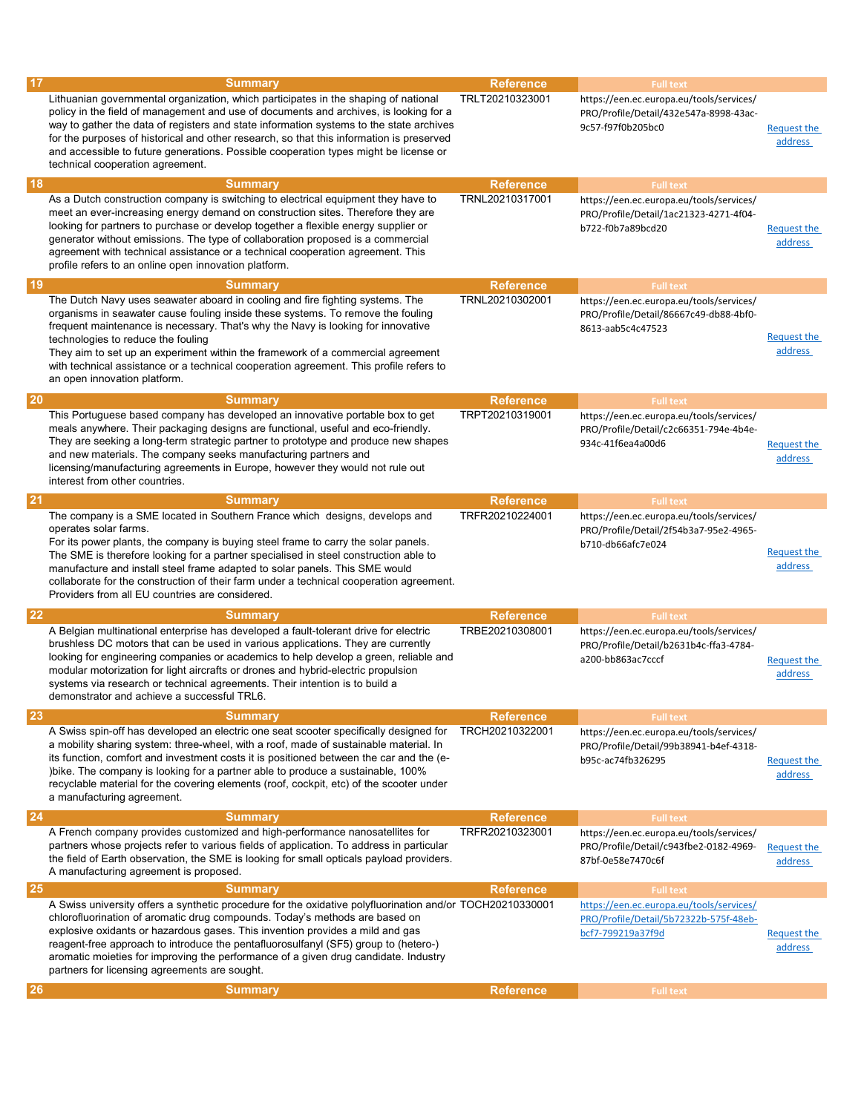| 17        | <b>Summary</b><br>Lithuanian governmental organization, which participates in the shaping of national<br>policy in the field of management and use of documents and archives, is looking for a<br>way to gather the data of registers and state information systems to the state archives<br>for the purposes of historical and other research, so that this information is preserved<br>and accessible to future generations. Possible cooperation types might be license or<br>technical cooperation agreement. | <b>Reference</b><br>TRLT20210323001 | <b>Full text</b><br>https://een.ec.europa.eu/tools/services/<br>PRO/Profile/Detail/432e547a-8998-43ac-<br>9c57-f97f0b205bc0 | Request the<br>address        |
|-----------|-------------------------------------------------------------------------------------------------------------------------------------------------------------------------------------------------------------------------------------------------------------------------------------------------------------------------------------------------------------------------------------------------------------------------------------------------------------------------------------------------------------------|-------------------------------------|-----------------------------------------------------------------------------------------------------------------------------|-------------------------------|
| <b>18</b> | <b>Summary</b>                                                                                                                                                                                                                                                                                                                                                                                                                                                                                                    | <b>Reference</b>                    | <b>Full text</b>                                                                                                            |                               |
|           | As a Dutch construction company is switching to electrical equipment they have to<br>meet an ever-increasing energy demand on construction sites. Therefore they are<br>looking for partners to purchase or develop together a flexible energy supplier or<br>generator without emissions. The type of collaboration proposed is a commercial<br>agreement with technical assistance or a technical cooperation agreement. This<br>profile refers to an online open innovation platform.                          | TRNL20210317001                     | https://een.ec.europa.eu/tools/services/<br>PRO/Profile/Detail/1ac21323-4271-4f04-<br>b722-f0b7a89bcd20                     | <b>Request the</b><br>address |
| 19        | <b>Summary</b>                                                                                                                                                                                                                                                                                                                                                                                                                                                                                                    | <b>Reference</b>                    | <b>Full text</b>                                                                                                            |                               |
|           | The Dutch Navy uses seawater aboard in cooling and fire fighting systems. The<br>organisms in seawater cause fouling inside these systems. To remove the fouling<br>frequent maintenance is necessary. That's why the Navy is looking for innovative<br>technologies to reduce the fouling<br>They aim to set up an experiment within the framework of a commercial agreement<br>with technical assistance or a technical cooperation agreement. This profile refers to<br>an open innovation platform.           | TRNL20210302001                     | https://een.ec.europa.eu/tools/services/<br>PRO/Profile/Detail/86667c49-db88-4bf0-<br>8613-aab5c4c47523                     | Request the<br>address        |
| <b>20</b> | <b>Summary</b>                                                                                                                                                                                                                                                                                                                                                                                                                                                                                                    | <b>Reference</b>                    | <b>Full text</b>                                                                                                            |                               |
|           | This Portuguese based company has developed an innovative portable box to get<br>meals anywhere. Their packaging designs are functional, useful and eco-friendly.<br>They are seeking a long-term strategic partner to prototype and produce new shapes<br>and new materials. The company seeks manufacturing partners and<br>licensing/manufacturing agreements in Europe, however they would not rule out<br>interest from other countries.                                                                     | TRPT20210319001                     | https://een.ec.europa.eu/tools/services/<br>PRO/Profile/Detail/c2c66351-794e-4b4e-<br>934c-41f6ea4a00d6                     | <b>Request the</b><br>address |
| <b>21</b> | <b>Summary</b>                                                                                                                                                                                                                                                                                                                                                                                                                                                                                                    | <b>Reference</b>                    | <b>Full text</b>                                                                                                            |                               |
|           | The company is a SME located in Southern France which designs, develops and<br>operates solar farms.<br>For its power plants, the company is buying steel frame to carry the solar panels.<br>The SME is therefore looking for a partner specialised in steel construction able to<br>manufacture and install steel frame adapted to solar panels. This SME would<br>collaborate for the construction of their farm under a technical cooperation agreement.<br>Providers from all EU countries are considered.   | TRFR20210224001                     | https://een.ec.europa.eu/tools/services/<br>PRO/Profile/Detail/2f54b3a7-95e2-4965-<br>b710-db66afc7e024                     | Request the<br>address        |
| 22        | <b>Summary</b>                                                                                                                                                                                                                                                                                                                                                                                                                                                                                                    | <b>Reference</b>                    | <b>Full text</b>                                                                                                            |                               |
|           | A Belgian multinational enterprise has developed a fault-tolerant drive for electric<br>brushless DC motors that can be used in various applications. They are currently<br>looking for engineering companies or academics to help develop a green, reliable and<br>modular motorization for light aircrafts or drones and hybrid-electric propulsion<br>systems via research or technical agreements. Their intention is to build a<br>demonstrator and achieve a successful TRL6.                               | TRBE20210308001                     | https://een.ec.europa.eu/tools/services/<br>PRO/Profile/Detail/b2631b4c-ffa3-4784-<br>a200-bb863ac7cccf                     | Request the<br>address        |
| 23        | <b>Summary</b>                                                                                                                                                                                                                                                                                                                                                                                                                                                                                                    | <b>Reference</b>                    | <b>Full text</b>                                                                                                            |                               |
|           | A Swiss spin-off has developed an electric one seat scooter specifically designed for<br>a mobility sharing system: three-wheel, with a roof, made of sustainable material. In<br>its function, comfort and investment costs it is positioned between the car and the (e-<br>)bike. The company is looking for a partner able to produce a sustainable, 100%<br>recyclable material for the covering elements (roof, cockpit, etc) of the scooter under<br>a manufacturing agreement.                             | TRCH20210322001                     | https://een.ec.europa.eu/tools/services/<br>PRO/Profile/Detail/99b38941-b4ef-4318-<br>b95c-ac74fb326295                     | Request the<br>address        |
| 24        | <b>Summary</b>                                                                                                                                                                                                                                                                                                                                                                                                                                                                                                    | <b>Reference</b>                    | <b>Full text</b>                                                                                                            |                               |
|           | A French company provides customized and high-performance nanosatellites for<br>partners whose projects refer to various fields of application. To address in particular<br>the field of Earth observation, the SME is looking for small opticals payload providers.<br>A manufacturing agreement is proposed.                                                                                                                                                                                                    | TRFR20210323001                     | https://een.ec.europa.eu/tools/services/<br>PRO/Profile/Detail/c943fbe2-0182-4969-<br>87bf-0e58e7470c6f                     | <b>Request the</b><br>address |
| 25        | <b>Summary</b>                                                                                                                                                                                                                                                                                                                                                                                                                                                                                                    | <b>Reference</b>                    | <b>Full text</b>                                                                                                            |                               |
|           | A Swiss university offers a synthetic procedure for the oxidative polyfluorination and/or TOCH20210330001<br>chlorofluorination of aromatic drug compounds. Today's methods are based on<br>explosive oxidants or hazardous gases. This invention provides a mild and gas<br>reagent-free approach to introduce the pentafluorosulfanyl (SF5) group to (hetero-)<br>aromatic moieties for improving the performance of a given drug candidate. Industry<br>partners for licensing agreements are sought.          |                                     | https://een.ec.europa.eu/tools/services/<br>PRO/Profile/Detail/5b72322b-575f-48eb-<br>bcf7-799219a37f9d                     | Request the<br>address        |
| 26        | <b>Summary</b>                                                                                                                                                                                                                                                                                                                                                                                                                                                                                                    | <b>Reference</b>                    | <b>Full text</b>                                                                                                            |                               |
|           |                                                                                                                                                                                                                                                                                                                                                                                                                                                                                                                   |                                     |                                                                                                                             |                               |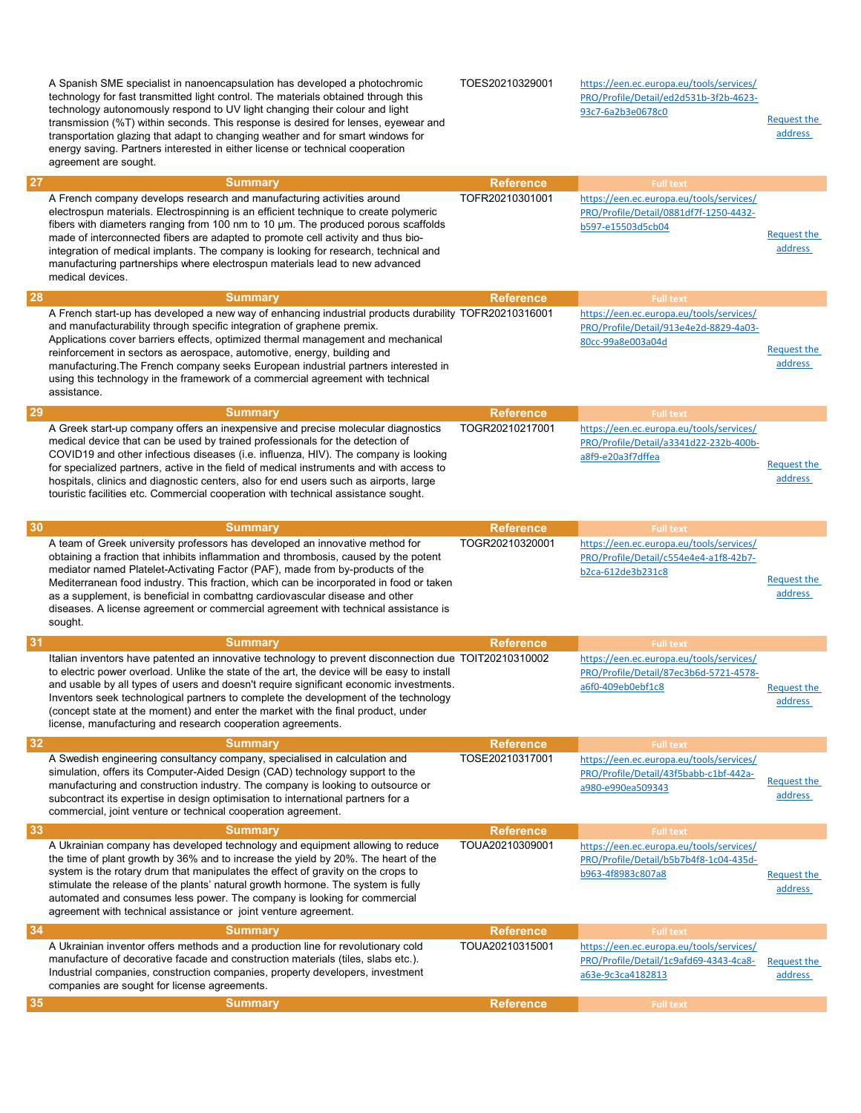A Spanish SME specialist in nanoencapsulation has developed a photochromic technology for fast transmitted light control. The materials obtained through this technology autonomously respond to UV light changing their colour and light transmission (%T) within seconds. This response is desired for lenses, eyewear and transportation glazing that adapt to changing weather and for smart windows for energy saving. Partners interested in either license or technical cooperation agreement are sought. TOES20210329001 https://een.ec.europa.eu/tools/services/ PRO/Profile/Detail/ed2d531b-3f2b-4623- 93c7-6a2b3e0678c0 Request the address 27 Summary Reference Full text Full text (Reference Full text (Reference Full text (Reference Full text (Reference  $\sim$  Full text (Reference  $\sim$  Full text (Reference  $\sim$  Full text (Reference  $\sim$  Reference  $\sim$  Full text A French company develops research and manufacturing activities around electrospun materials. Electrospinning is an efficient technique to create polymeric fibers with diameters ranging from 100 nm to 10 µm. The produced porous scaffolds made of interconnected fibers are adapted to promote cell activity and thus biointegration of medical implants. The company is looking for research, technical and manufacturing partnerships where electrospun materials lead to new advanced medical devices. TOFR20210301001 https://een.ec.europa.eu/tools/services/ PRO/Profile/Detail/0881df7f-1250-4432 b597-e15503d5cb04 Request the address 28 Summary Reference Full text Full text (Reference Full text (Reference Full text (Reference Full text (Reference  $\sim$  Full text (Reference  $\sim$  Full text (Reference  $\sim$  Full text (Reference  $\sim$  Reference  $\sim$  Full text A French start-up has developed a new way of enhancing industrial products durability and manufacturability through specific integration of graphene premix. Applications cover barriers effects, optimized thermal management and mechanical reinforcement in sectors as aerospace, automotive, energy, building and manufacturing.The French company seeks European industrial partners interested in using this technology in the framework of a commercial agreement with technical assistance. https://een.ec.europa.eu/tools/services/ PRO/Profile/Detail/913e4e2d-8829-4a03- 80cc-99a8e003a04d Request the address 29 Summary Reference Full text Full text (Reference Full text (Reference Full text (Reference Full text (Reference  $\sim$  Full text (Reference  $\sim$  Full text (Reference  $\sim$  Full text (Reference  $\sim$  Reference  $\sim$  Full text A Greek start-up company offers an inexpensive and precise molecular diagnostics medical device that can be used by trained professionals for the detection of COVID19 and other infectious diseases (i.e. influenza, HIV). The company is looking for specialized partners, active in the field of medical instruments and with access to hospitals, clinics and diagnostic centers, also for end users such as airports, large touristic facilities etc. Commercial cooperation with technical assistance sought. TOGR20210217001 https://een.ec.europa.eu/tools/services/ PRO/Profile/Detail/a3341d22-232b-400ba8f9-e20a3f7dffea Request the address **30 Summary Reference Full text** Full text (Summary Reference Full text (Summary Reference Full text of  $R$ A team of Greek university professors has developed an innovative method for obtaining a fraction that inhibits inflammation and thrombosis, caused by the potent mediator named Platelet-Activating Factor (PAF), made from by-products of the Mediterranean food industry. This fraction, which can be incorporated in food or taken as a supplement, is beneficial in combattng cardiovascular disease and other diseases. A license agreement or commercial agreement with technical assistance is sought. TOGR20210320001 https://een.ec.europa.eu/tools/services/ PRO/Profile/Detail/c554e4e4-a1f8-42b7 b2ca-612de3b231c8 Request the address **31** Summary Reference Full text Full text Reference Full text Reference Full text Reference  $\sim$  Full text Reference  $\sim$  Full text Italian inventors have patented an innovative technology to prevent disconnection due TOIT20210310002 to electric power overload. Unlike the state of the art, the device will be easy to install and usable by all types of users and doesn't require significant economic investments. Inventors seek technological partners to complete the development of the technology (concept state at the moment) and enter the market with the final product, under license, manufacturing and research cooperation agreements. https://een.ec.europa.eu/tools/services/ PRO/Profile/Detail/87ec3b6d-5721-4578 a6f0-409eb0ebf1c8 Request the address **32 Summary Reference Full text** Full text Reference Full text Reference Full text Reference **Reference** Full text A Swedish engineering consultancy company, specialised in calculation and simulation, offers its Computer-Aided Design (CAD) technology support to the manufacturing and construction industry. The company is looking to outsource or subcontract its expertise in design optimisation to international partners for a commercial, joint venture or technical cooperation agreement. TOSE20210317001 https://een.ec.europa.eu/tools/services/ PRO/Profile/Detail/43f5babb-c1bf-442a-Request the a980-e990ea509343 address **33 Summary Reference Full text** Full text **Summary** Reference Reference Full text Full text A Ukrainian company has developed technology and equipment allowing to reduce the time of plant growth by 36% and to increase the yield by 20%. The heart of the system is the rotary drum that manipulates the effect of gravity on the crops to stimulate the release of the plants' natural growth hormone. The system is fully automated and consumes less power. The company is looking for commercial agreement with technical assistance or joint venture agreement. TOUA20210309001 https://een.ec.europa.eu/tools/services/ PRO/Profile/Detail/b5b7b4f8-1c04-435db963-4f8983c807a8 Request the address **34 Summary Reference Full text** Full text **Summary** Reference Reference Full text Full text A Ukrainian inventor offers methods and a production line for revolutionary cold manufacture of decorative facade and construction materials (tiles, slabs etc.). Industrial companies, construction companies, property developers, investment companies are sought for license agreements. TOUA20210315001 https://een.ec.europa.eu/tools/services/ PRO/Profile/Detail/1c9afd69-4343-4ca8 a63e-9c3ca4182813 Request the address **35 Summary Reference Full text** Full text Reference Full text Reference Full text Reference **Reference** Full text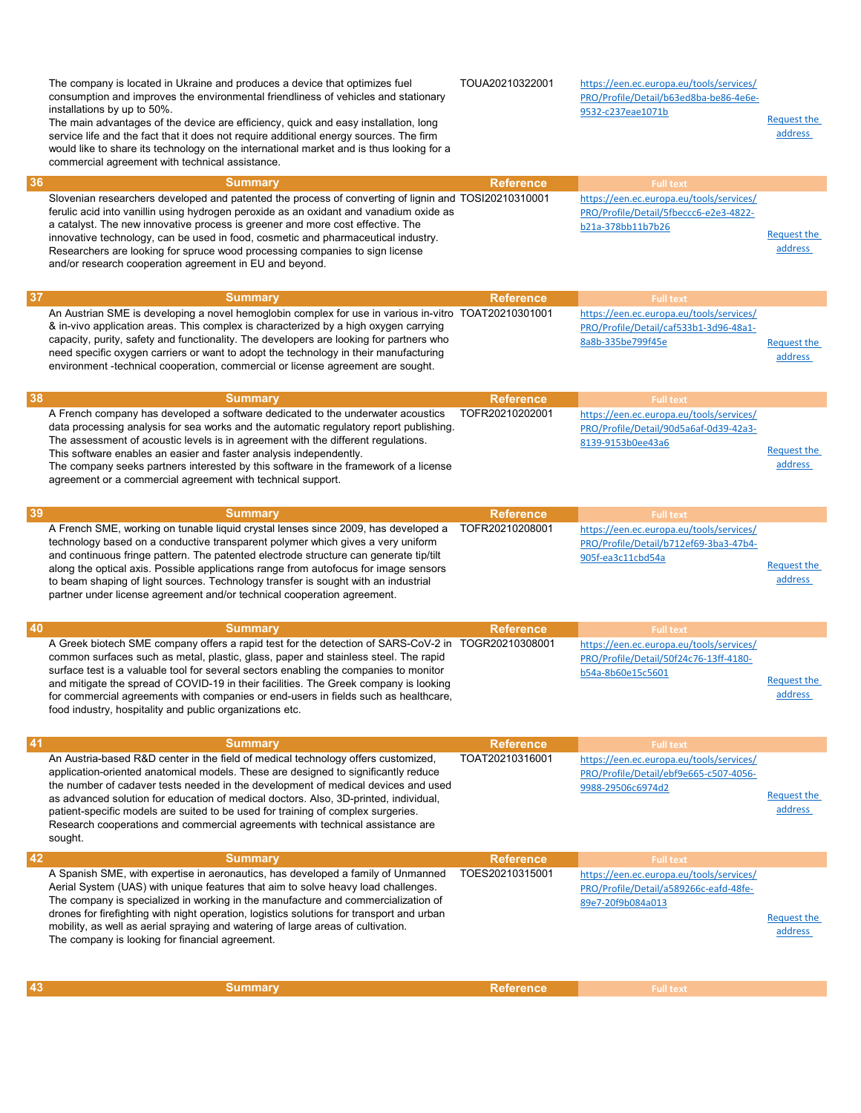|    | The company is located in Ukraine and produces a device that optimizes fuel<br>consumption and improves the environmental friendliness of vehicles and stationary<br>installations by up to 50%.<br>The main advantages of the device are efficiency, quick and easy installation, long<br>service life and the fact that it does not require additional energy sources. The firm<br>would like to share its technology on the international market and is thus looking for a<br>commercial agreement with technical assistance.     | TOUA20210322001  | https://een.ec.europa.eu/tools/services/<br>PRO/Profile/Detail/b63ed8ba-be86-4e6e-<br>9532-c237eae1071b | <b>Request the</b><br>address |
|----|--------------------------------------------------------------------------------------------------------------------------------------------------------------------------------------------------------------------------------------------------------------------------------------------------------------------------------------------------------------------------------------------------------------------------------------------------------------------------------------------------------------------------------------|------------------|---------------------------------------------------------------------------------------------------------|-------------------------------|
| 36 | <b>Summary</b>                                                                                                                                                                                                                                                                                                                                                                                                                                                                                                                       | <b>Reference</b> | <b>Full text</b>                                                                                        |                               |
|    | Slovenian researchers developed and patented the process of converting of lignin and TOSI20210310001<br>ferulic acid into vanillin using hydrogen peroxide as an oxidant and vanadium oxide as<br>a catalyst. The new innovative process is greener and more cost effective. The<br>innovative technology, can be used in food, cosmetic and pharmaceutical industry.<br>Researchers are looking for spruce wood processing companies to sign license<br>and/or research cooperation agreement in EU and beyond.                     |                  | https://een.ec.europa.eu/tools/services/<br>PRO/Profile/Detail/5fbeccc6-e2e3-4822-<br>b21a-378bb11b7b26 | Request the<br>address        |
| 37 | <b>Summary</b>                                                                                                                                                                                                                                                                                                                                                                                                                                                                                                                       | <b>Reference</b> | <b>Full text</b>                                                                                        |                               |
|    | An Austrian SME is developing a novel hemoglobin complex for use in various in-vitro TOAT20210301001<br>& in-vivo application areas. This complex is characterized by a high oxygen carrying<br>capacity, purity, safety and functionality. The developers are looking for partners who<br>need specific oxygen carriers or want to adopt the technology in their manufacturing<br>environment -technical cooperation, commercial or license agreement are sought.                                                                   |                  | https://een.ec.europa.eu/tools/services/<br>PRO/Profile/Detail/caf533b1-3d96-48a1-<br>8a8b-335be799f45e | <b>Request the</b><br>address |
| 38 | <b>Summary</b>                                                                                                                                                                                                                                                                                                                                                                                                                                                                                                                       | <b>Reference</b> | <b>Full text</b>                                                                                        |                               |
|    | A French company has developed a software dedicated to the underwater acoustics<br>data processing analysis for sea works and the automatic regulatory report publishing.<br>The assessment of acoustic levels is in agreement with the different regulations.<br>This software enables an easier and faster analysis independently.<br>The company seeks partners interested by this software in the framework of a license<br>agreement or a commercial agreement with technical support.                                          | TOFR20210202001  | https://een.ec.europa.eu/tools/services/<br>PRO/Profile/Detail/90d5a6af-0d39-42a3-<br>8139-9153b0ee43a6 | <b>Request the</b><br>address |
| 39 | <b>Summary</b>                                                                                                                                                                                                                                                                                                                                                                                                                                                                                                                       | <b>Reference</b> | <b>Full text</b>                                                                                        |                               |
|    | A French SME, working on tunable liquid crystal lenses since 2009, has developed a<br>technology based on a conductive transparent polymer which gives a very uniform<br>and continuous fringe pattern. The patented electrode structure can generate tip/tilt<br>along the optical axis. Possible applications range from autofocus for image sensors<br>to beam shaping of light sources. Technology transfer is sought with an industrial<br>partner under license agreement and/or technical cooperation agreement.              | TOFR20210208001  | https://een.ec.europa.eu/tools/services/<br>PRO/Profile/Detail/b712ef69-3ba3-47b4-<br>905f-ea3c11cbd54a | <b>Request the</b><br>address |
| 40 | <b>Summary</b>                                                                                                                                                                                                                                                                                                                                                                                                                                                                                                                       | <b>Reference</b> | <b>Full text</b>                                                                                        |                               |
|    | A Greek biotech SME company offers a rapid test for the detection of SARS-CoV-2 in TOGR20210308001<br>common surfaces such as metal, plastic, glass, paper and stainless steel. The rapid<br>surface test is a valuable tool for several sectors enabling the companies to monitor<br>and mitigate the spread of COVID-19 in their facilities. The Greek company is looking<br>for commercial agreements with companies or end-users in fields such as healthcare,<br>food industry, hospitality and public organizations etc.       |                  | https://een.ec.europa.eu/tools/services/<br>PRO/Profile/Detail/50f24c76-13ff-4180-<br>b54a-8b60e15c5601 | Request the<br><u>address</u> |
| 41 | <b>Summary</b>                                                                                                                                                                                                                                                                                                                                                                                                                                                                                                                       | <b>Reference</b> | <b>Full text</b>                                                                                        |                               |
|    | An Austria-based R&D center in the field of medical technology offers customized,<br>application-oriented anatomical models. These are designed to significantly reduce<br>the number of cadaver tests needed in the development of medical devices and used<br>as advanced solution for education of medical doctors. Also, 3D-printed, individual,<br>patient-specific models are suited to be used for training of complex surgeries.<br>Research cooperations and commercial agreements with technical assistance are<br>sought. | TOAT20210316001  | https://een.ec.europa.eu/tools/services/<br>PRO/Profile/Detail/ebf9e665-c507-4056-<br>9988-29506c6974d2 | Request the<br>address        |
| 42 | <b>Summary</b>                                                                                                                                                                                                                                                                                                                                                                                                                                                                                                                       | <b>Reference</b> | <b>Full text</b>                                                                                        |                               |
|    | A Spanish SME, with expertise in aeronautics, has developed a family of Unmanned<br>Aerial System (UAS) with unique features that aim to solve heavy load challenges.<br>The company is specialized in working in the manufacture and commercialization of<br>drones for firefighting with night operation, logistics solutions for transport and urban<br>mobility, as well as aerial spraying and watering of large areas of cultivation.<br>The company is looking for financial agreement.                                       | TOES20210315001  | https://een.ec.europa.eu/tools/services/<br>PRO/Profile/Detail/a589266c-eafd-48fe-<br>89e7-20f9b084a013 | <b>Request the</b><br>address |
|    |                                                                                                                                                                                                                                                                                                                                                                                                                                                                                                                                      |                  |                                                                                                         |                               |
| 43 | <b>Summary</b>                                                                                                                                                                                                                                                                                                                                                                                                                                                                                                                       | <b>Reference</b> | <b>Full text</b>                                                                                        |                               |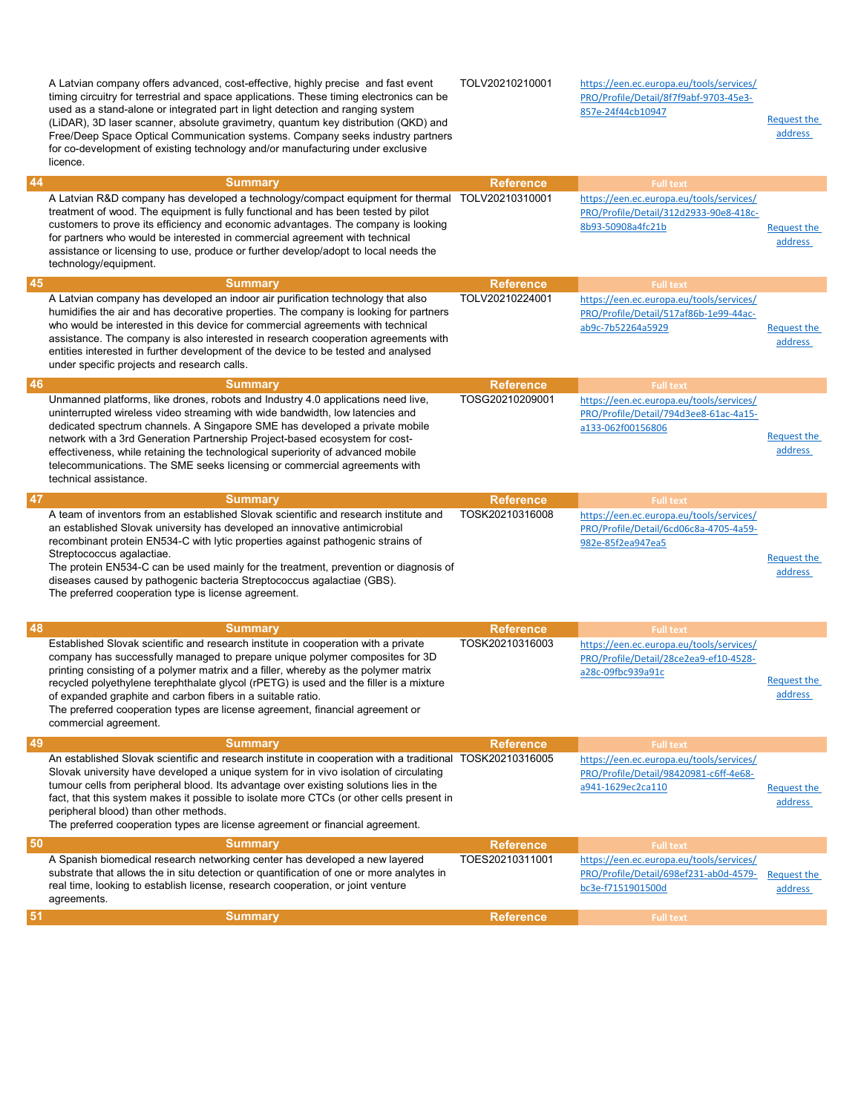|    | A Latvian company offers advanced, cost-effective, highly precise and fast event<br>timing circuitry for terrestrial and space applications. These timing electronics can be<br>used as a stand-alone or integrated part in light detection and ranging system<br>(LiDAR), 3D laser scanner, absolute gravimetry, quantum key distribution (QKD) and<br>Free/Deep Space Optical Communication systems. Company seeks industry partners<br>for co-development of existing technology and/or manufacturing under exclusive<br>licence. | TOLV20210210001                     | https://een.ec.europa.eu/tools/services/<br>PRO/Profile/Detail/8f7f9abf-9703-45e3-<br>857e-24f44cb10947                     | <b>Request the</b><br>address |
|----|--------------------------------------------------------------------------------------------------------------------------------------------------------------------------------------------------------------------------------------------------------------------------------------------------------------------------------------------------------------------------------------------------------------------------------------------------------------------------------------------------------------------------------------|-------------------------------------|-----------------------------------------------------------------------------------------------------------------------------|-------------------------------|
| 44 | <b>Summary</b><br>A Latvian R&D company has developed a technology/compact equipment for thermal<br>treatment of wood. The equipment is fully functional and has been tested by pilot<br>customers to prove its efficiency and economic advantages. The company is looking<br>for partners who would be interested in commercial agreement with technical<br>assistance or licensing to use, produce or further develop/adopt to local needs the<br>technology/equipment.                                                            | <b>Reference</b><br>TOLV20210310001 | <b>Full text</b><br>https://een.ec.europa.eu/tools/services/<br>PRO/Profile/Detail/312d2933-90e8-418c-<br>8b93-50908a4fc21b | Request the<br>address        |
| 45 | <b>Summary</b>                                                                                                                                                                                                                                                                                                                                                                                                                                                                                                                       | <b>Reference</b>                    | <b>Full text</b>                                                                                                            |                               |
|    | A Latvian company has developed an indoor air purification technology that also<br>humidifies the air and has decorative properties. The company is looking for partners<br>who would be interested in this device for commercial agreements with technical<br>assistance. The company is also interested in research cooperation agreements with<br>entities interested in further development of the device to be tested and analysed<br>under specific projects and research calls.                                               | TOLV20210224001                     | https://een.ec.europa.eu/tools/services/<br>PRO/Profile/Detail/517af86b-1e99-44ac-<br>ab9c-7b52264a5929                     | Request the<br>address        |
| 46 | <b>Summary</b>                                                                                                                                                                                                                                                                                                                                                                                                                                                                                                                       | <b>Reference</b>                    | <b>Full text</b>                                                                                                            |                               |
|    | Unmanned platforms, like drones, robots and Industry 4.0 applications need live,<br>uninterrupted wireless video streaming with wide bandwidth, low latencies and<br>dedicated spectrum channels. A Singapore SME has developed a private mobile<br>network with a 3rd Generation Partnership Project-based ecosystem for cost-<br>effectiveness, while retaining the technological superiority of advanced mobile<br>telecommunications. The SME seeks licensing or commercial agreements with<br>technical assistance.             | TOSG20210209001                     | https://een.ec.europa.eu/tools/services/<br>PRO/Profile/Detail/794d3ee8-61ac-4a15-<br>a133-062f00156806                     | Request the<br>address        |
| 47 | <b>Summary</b>                                                                                                                                                                                                                                                                                                                                                                                                                                                                                                                       | <b>Reference</b>                    | <b>Full text</b>                                                                                                            |                               |
|    | A team of inventors from an established Slovak scientific and research institute and<br>an established Slovak university has developed an innovative antimicrobial<br>recombinant protein EN534-C with lytic properties against pathogenic strains of<br>Streptococcus agalactiae.<br>The protein EN534-C can be used mainly for the treatment, prevention or diagnosis of<br>diseases caused by pathogenic bacteria Streptococcus agalactiae (GBS).<br>The preferred cooperation type is license agreement.                         | TOSK20210316008                     | https://een.ec.europa.eu/tools/services/<br>PRO/Profile/Detail/6cd06c8a-4705-4a59-<br>982e-85f2ea947ea5                     | <b>Request the</b><br>address |
| 48 | <b>Summary</b>                                                                                                                                                                                                                                                                                                                                                                                                                                                                                                                       | <b>Reference</b>                    | <b>Full text</b>                                                                                                            |                               |
|    | Established Slovak scientific and research institute in cooperation with a private<br>company has successfully managed to prepare unique polymer composites for 3D<br>printing consisting of a polymer matrix and a filler, whereby as the polymer matrix<br>recycled polyethylene terephthalate glycol (rPETG) is used and the filler is a mixture<br>of expanded graphite and carbon fibers in a suitable ratio.<br>The preferred cooperation types are license agreement, financial agreement or<br>commercial agreement.         | TOSK20210316003                     | https://een.ec.europa.eu/tools/services/<br>PRO/Profile/Detail/28ce2ea9-ef10-4528-<br>a28c-09fbc939a91c                     | Request the<br>address        |
| 49 | <b>Summary</b>                                                                                                                                                                                                                                                                                                                                                                                                                                                                                                                       | <b>Reference</b>                    | <b>Full text</b>                                                                                                            |                               |
|    | An established Slovak scientific and research institute in cooperation with a traditional TOSK20210316005<br>Slovak university have developed a unique system for in vivo isolation of circulating<br>tumour cells from peripheral blood. Its advantage over existing solutions lies in the<br>fact, that this system makes it possible to isolate more CTCs (or other cells present in<br>peripheral blood) than other methods.<br>The preferred cooperation types are license agreement or financial agreement.                    |                                     | https://een.ec.europa.eu/tools/services/<br>PRO/Profile/Detail/98420981-c6ff-4e68-<br>a941-1629ec2ca110                     | Request the<br>address        |
| 50 | <b>Summary</b>                                                                                                                                                                                                                                                                                                                                                                                                                                                                                                                       | <b>Reference</b>                    | <b>Full text</b>                                                                                                            |                               |
|    | A Spanish biomedical research networking center has developed a new layered<br>substrate that allows the in situ detection or quantification of one or more analytes in<br>real time, looking to establish license, research cooperation, or joint venture<br>agreements.                                                                                                                                                                                                                                                            | TOES20210311001                     | https://een.ec.europa.eu/tools/services/<br>PRO/Profile/Detail/698ef231-ab0d-4579-<br>bc3e-f7151901500d                     | Request the<br>address        |
| 51 | <b>Summary</b>                                                                                                                                                                                                                                                                                                                                                                                                                                                                                                                       | <b>Reference</b>                    | <b>Full text</b>                                                                                                            |                               |
|    |                                                                                                                                                                                                                                                                                                                                                                                                                                                                                                                                      |                                     |                                                                                                                             |                               |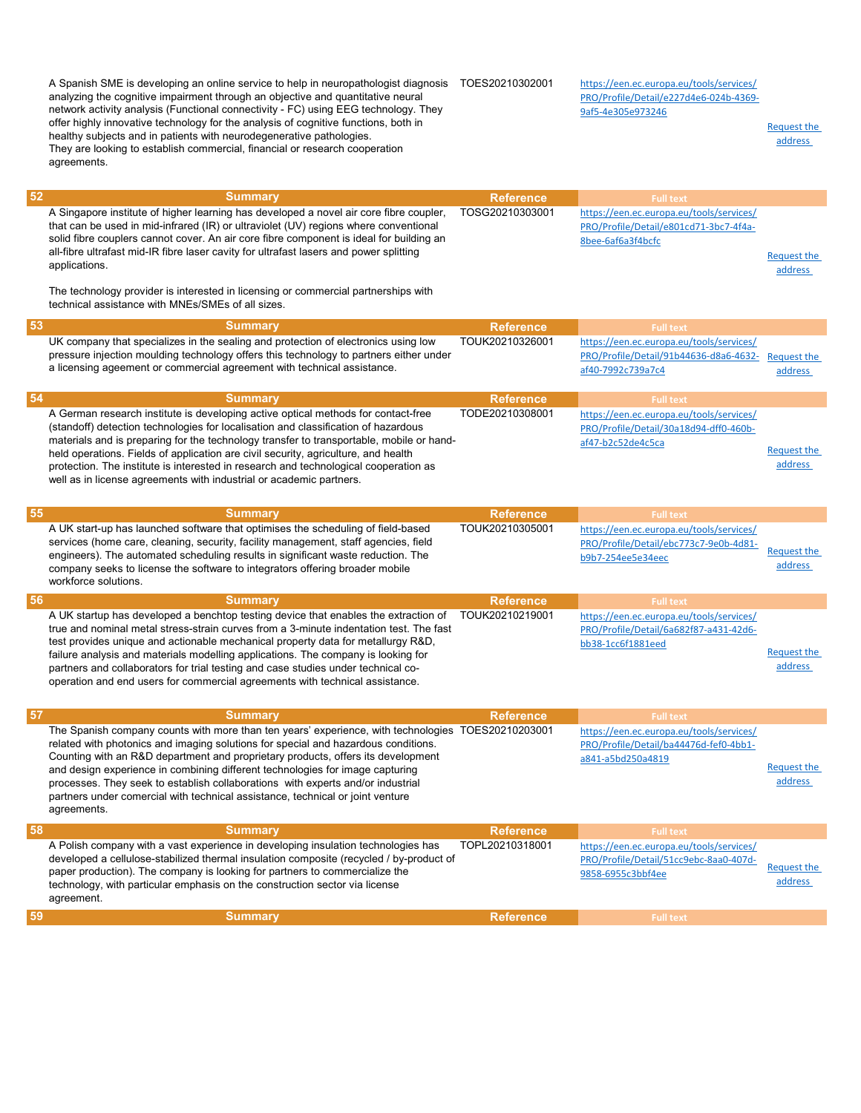analyzing the cognitive impairment through an objective and quantitative neural network activity analysis (Functional connectivity - FC) using EEG technology. They offer highly innovative technology for the analysis of cognitive functions, both in healthy subjects and in patients with neurodegenerative pathologies. They are looking to establish commercial, financial or research cooperation agreements. PRO/Profile/Detail/e227d4e6-024b-4369- 9af5-4e305e973246 Request the address **52** Summary Reference Full text Full text Reference Full text Reference Full text Reference  $\mathbb{R}^n$ A Singapore institute of higher learning has developed a novel air core fibre coupler, that can be used in mid-infrared (IR) or ultraviolet (UV) regions where conventional solid fibre couplers cannot cover. An air core fibre component is ideal for building an all-fibre ultrafast mid-IR fibre laser cavity for ultrafast lasers and power splitting applications. The technology provider is interested in licensing or commercial partnerships with technical assistance with MNEs/SMEs of all sizes. TOSG20210303001 https://een.ec.europa.eu/tools/services/ PRO/Profile/Detail/e801cd71-3bc7-4f4a-8bee-6af6a3f4bcfc Request the address **53** Summary Reference Full text Full text Reference Full text Reference Full text Reference  $\mathbb{R}^n$ UK company that specializes in the sealing and protection of electronics using low pressure injection moulding technology offers this technology to partners either under a licensing ageement or commercial agreement with technical assistance. TOUK20210326001 https://een.ec.europa.eu/tools/services/ PRO/Profile/Detail/91b44636-d8a6-4632 af40-7992c739a7c4 Request the address **54 Summary Reference Full text** Full text **Summary** Reference Reference Full text Full text A German research institute is developing active optical methods for contact-free (standoff) detection technologies for localisation and classification of hazardous materials and is preparing for the technology transfer to transportable, mobile or handheld operations. Fields of application are civil security, agriculture, and health protection. The institute is interested in research and technological cooperation as well as in license agreements with industrial or academic partners. TODE20210308001 https://een.ec.europa.eu/tools/services/ PRO/Profile/Detail/30a18d94-dff0-460baf47-b2c52de4c5ca Request the address **55 Summary Reference Full text** Full text (Summary Reference Full text (Summary Reference Full text of  $R$ A UK start-up has launched software that optimises the scheduling of field-based services (home care, cleaning, security, facility management, staff agencies, field engineers). The automated scheduling results in significant waste reduction. The company seeks to license the software to integrators offering broader mobile workforce solutions. TOUK20210305001 https://een.ec.europa.eu/tools/services/ PRO/Profile/Detail/ebc773c7-9e0b-4d81- <u>Request the</u><br>b9b7-254ee5e34eec address **56 Summary Reference Full text** Full text **Summary** Reference Reference Full text Full text A UK startup has developed a benchtop testing device that enables the extraction of true and nominal metal stress-strain curves from a 3-minute indentation test. The fast test provides unique and actionable mechanical property data for metallurgy R&D, failure analysis and materials modelling applications. The company is looking for partners and collaborators for trial testing and case studies under technical cooperation and end users for commercial agreements with technical assistance. TOUK20210219001 https://een.ec.europa.eu/tools/services/ PRO/Profile/Detail/6a682f87-a431-42d6 bb38-1cc6f1881eed Request the address **57** Summary Reference Full text Full text and Summary Reference Reference Full text Full text  $\sim$ The Spanish company counts with more than ten years' experience, with technologies TOES20210203001 related with photonics and imaging solutions for special and hazardous conditions. Counting with an R&D department and proprietary products, offers its development and design experience in combining different technologies for image capturing processes. They seek to establish collaborations with experts and/or industrial partners under comercial with technical assistance, technical or joint venture agreements. https://een.ec.europa.eu/tools/services/ PRO/Profile/Detail/ba44476d-fef0-4bb1 a841-a5bd250a4819 Request the address **58 Summary Reference Full text** Full text **Summary** Reference Reference Full text Full text A Polish company with a vast experience in developing insulation technologies has developed a cellulose-stabilized thermal insulation composite (recycled / by-product of paper production). The company is looking for partners to commercialize the technology, with particular emphasis on the construction sector via license agreement. TOPL20210318001 https://een.ec.europa.eu/tools/services/ PRO/Profile/Detail/51cc9ebc-8aa0-407d-Request the Same Detail Street Controller Request the address 59 Summary Reference Full text Full text (Summary Reference Full text (Summary Reference Full text (Summary Reference  $R$ 

https://een.ec.europa.eu/tools/services/

A Spanish SME is developing an online service to help in neuropathologist diagnosis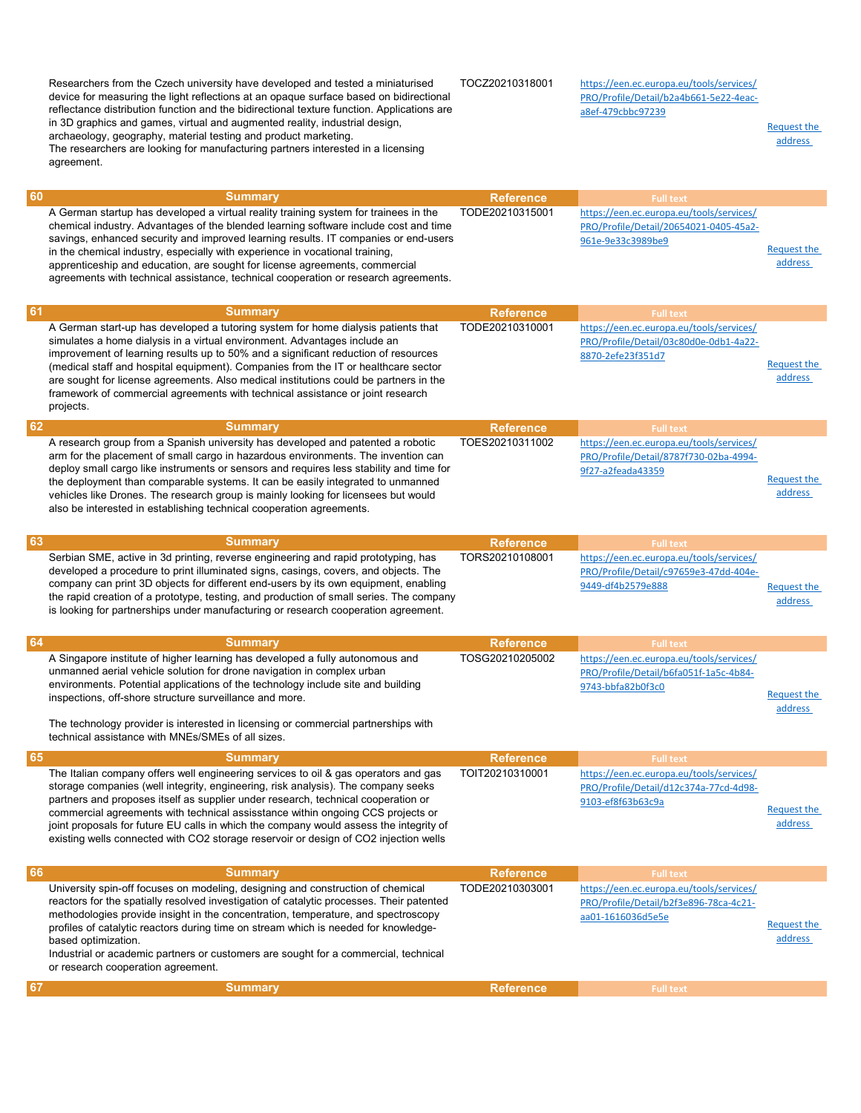|    | Researchers from the Czech university have developed and tested a miniaturised<br>device for measuring the light reflections at an opaque surface based on bidirectional<br>reflectance distribution function and the bidirectional texture function. Applications are<br>in 3D graphics and games, virtual and augmented reality, industrial design,<br>archaeology, geography, material testing and product marketing.<br>The researchers are looking for manufacturing partners interested in a licensing<br>agreement.         | TOCZ20210318001  | https://een.ec.europa.eu/tools/services/<br>PRO/Profile/Detail/b2a4b661-5e22-4eac-<br>a8ef-479cbbc97239 | <b>Request the</b><br>address |
|----|------------------------------------------------------------------------------------------------------------------------------------------------------------------------------------------------------------------------------------------------------------------------------------------------------------------------------------------------------------------------------------------------------------------------------------------------------------------------------------------------------------------------------------|------------------|---------------------------------------------------------------------------------------------------------|-------------------------------|
| 60 | <b>Summary</b>                                                                                                                                                                                                                                                                                                                                                                                                                                                                                                                     | <b>Reference</b> | <b>Full text</b>                                                                                        |                               |
|    | A German startup has developed a virtual reality training system for trainees in the<br>chemical industry. Advantages of the blended learning software include cost and time<br>savings, enhanced security and improved learning results. IT companies or end-users<br>in the chemical industry, especially with experience in vocational training,<br>apprenticeship and education, are sought for license agreements, commercial<br>agreements with technical assistance, technical cooperation or research agreements.          | TODE20210315001  | https://een.ec.europa.eu/tools/services/<br>PRO/Profile/Detail/20654021-0405-45a2-<br>961e-9e33c3989be9 | <b>Request the</b><br>address |
| 61 | <b>Summary</b>                                                                                                                                                                                                                                                                                                                                                                                                                                                                                                                     | <b>Reference</b> | <b>Full text</b>                                                                                        |                               |
|    | A German start-up has developed a tutoring system for home dialysis patients that<br>simulates a home dialysis in a virtual environment. Advantages include an<br>improvement of learning results up to 50% and a significant reduction of resources<br>(medical staff and hospital equipment). Companies from the IT or healthcare sector<br>are sought for license agreements. Also medical institutions could be partners in the<br>framework of commercial agreements with technical assistance or joint research<br>projects. | TODE20210310001  | https://een.ec.europa.eu/tools/services/<br>PRO/Profile/Detail/03c80d0e-0db1-4a22-<br>8870-2efe23f351d7 | <b>Request the</b><br>address |
| 62 | <b>Summary</b>                                                                                                                                                                                                                                                                                                                                                                                                                                                                                                                     | <b>Reference</b> | <b>Full text</b>                                                                                        |                               |
|    | A research group from a Spanish university has developed and patented a robotic<br>arm for the placement of small cargo in hazardous environments. The invention can<br>deploy small cargo like instruments or sensors and requires less stability and time for<br>the deployment than comparable systems. It can be easily integrated to unmanned<br>vehicles like Drones. The research group is mainly looking for licensees but would<br>also be interested in establishing technical cooperation agreements.                   | TOES20210311002  | https://een.ec.europa.eu/tools/services/<br>PRO/Profile/Detail/8787f730-02ba-4994-<br>9f27-a2feada43359 | Request the<br>address        |
| 63 | <b>Summary</b>                                                                                                                                                                                                                                                                                                                                                                                                                                                                                                                     | <b>Reference</b> | <b>Full text</b>                                                                                        |                               |
|    | Serbian SME, active in 3d printing, reverse engineering and rapid prototyping, has<br>developed a procedure to print illuminated signs, casings, covers, and objects. The<br>company can print 3D objects for different end-users by its own equipment, enabling<br>the rapid creation of a prototype, testing, and production of small series. The company<br>is looking for partnerships under manufacturing or research cooperation agreement.                                                                                  | TORS20210108001  | https://een.ec.europa.eu/tools/services/<br>PRO/Profile/Detail/c97659e3-47dd-404e-<br>9449-df4b2579e888 | Request the<br>address        |
| 64 | <b>Summary</b>                                                                                                                                                                                                                                                                                                                                                                                                                                                                                                                     | <b>Reference</b> | <b>Full text</b>                                                                                        |                               |
|    | A Singapore institute of higher learning has developed a fully autonomous and<br>unmanned aerial vehicle solution for drone navigation in complex urban<br>environments. Potential applications of the technology include site and building<br>inspections, off-shore structure surveillance and more.<br>The technology provider is interested in licensing or commercial partnerships with<br>technical assistance with MNEs/SMEs of all sizes.                                                                                  | TOSG20210205002  | https://een.ec.europa.eu/tools/services/<br>PRO/Profile/Detail/b6fa051f-1a5c-4b84-<br>9743-bbfa82b0f3c0 | Request the<br>address        |
| 65 | <b>Summary</b>                                                                                                                                                                                                                                                                                                                                                                                                                                                                                                                     | <b>Reference</b> | <b>Full text</b>                                                                                        |                               |
|    | The Italian company offers well engineering services to oil & gas operators and gas<br>storage companies (well integrity, engineering, risk analysis). The company seeks<br>partners and proposes itself as supplier under research, technical cooperation or<br>commercial agreements with technical assisstance within ongoing CCS projects or<br>joint proposals for future EU calls in which the company would assess the integrity of<br>existing wells connected with CO2 storage reservoir or design of CO2 injection wells | TOIT20210310001  | https://een.ec.europa.eu/tools/services/<br>PRO/Profile/Detail/d12c374a-77cd-4d98-<br>9103-ef8f63b63c9a | Request the<br>address        |
| 66 | <b>Summary</b>                                                                                                                                                                                                                                                                                                                                                                                                                                                                                                                     | <b>Reference</b> | <b>Full text</b>                                                                                        |                               |
|    | University spin-off focuses on modeling, designing and construction of chemical<br>reactors for the spatially resolved investigation of catalytic processes. Their patented<br>methodologies provide insight in the concentration, temperature, and spectroscopy<br>profiles of catalytic reactors during time on stream which is needed for knowledge-<br>based optimization.<br>Industrial or academic partners or customers are sought for a commercial, technical<br>or research cooperation agreement.                        | TODE20210303001  | https://een.ec.europa.eu/tools/services/<br>PRO/Profile/Detail/b2f3e896-78ca-4c21-<br>aa01-1616036d5e5e | <b>Request the</b><br>address |
| 67 | <b>Summary</b>                                                                                                                                                                                                                                                                                                                                                                                                                                                                                                                     | <b>Reference</b> | <b>Full text</b>                                                                                        |                               |
|    |                                                                                                                                                                                                                                                                                                                                                                                                                                                                                                                                    |                  |                                                                                                         |                               |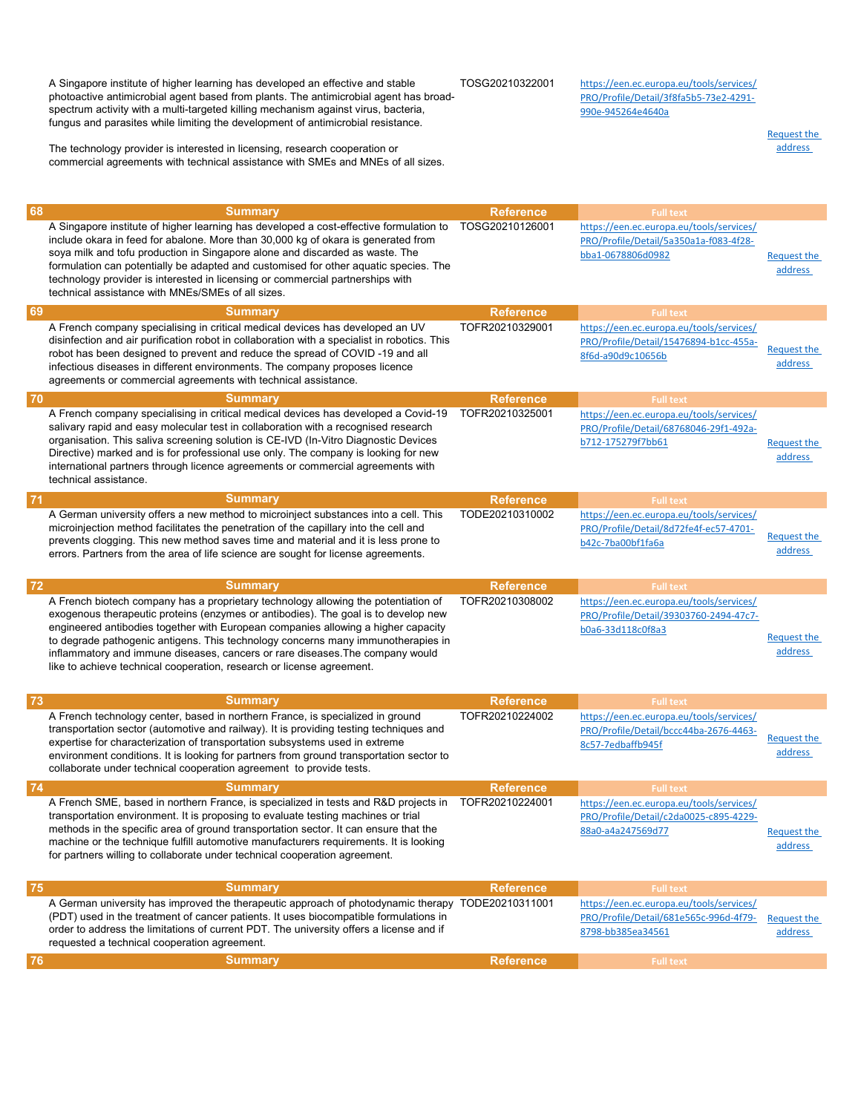A Singapore institute of higher learning has developed an effective and stable photoactive antimicrobial agent based from plants. The antimicrobial agent has broadspectrum activity with a multi-targeted killing mechanism against virus, bacteria, fungus and parasites while limiting the development of antimicrobial resistance.

The technology provider is interested in licensing, research cooperation or commercial agreements with technical assistance with SMEs and MNEs of all sizes. TOSG20210322001 https://een.ec.europa.eu/tools/services/

PRO/Profile/Detail/3f8fa5b5-73e2-4291- 990e-945264e4640a

> Request the address

| 68 | <b>Summary</b>                                                                                                                                                                                                                                                                                                                                                                                                                                                                                              | <b>Reference</b> | <b>Full text</b>                                                                                        |                               |
|----|-------------------------------------------------------------------------------------------------------------------------------------------------------------------------------------------------------------------------------------------------------------------------------------------------------------------------------------------------------------------------------------------------------------------------------------------------------------------------------------------------------------|------------------|---------------------------------------------------------------------------------------------------------|-------------------------------|
|    | A Singapore institute of higher learning has developed a cost-effective formulation to<br>include okara in feed for abalone. More than 30,000 kg of okara is generated from<br>soya milk and tofu production in Singapore alone and discarded as waste. The<br>formulation can potentially be adapted and customised for other aquatic species. The<br>technology provider is interested in licensing or commercial partnerships with<br>technical assistance with MNEs/SMEs of all sizes.                  | TOSG20210126001  | https://een.ec.europa.eu/tools/services/<br>PRO/Profile/Detail/5a350a1a-f083-4f28-<br>bba1-0678806d0982 | Request the<br>address        |
| 69 | <b>Summary</b>                                                                                                                                                                                                                                                                                                                                                                                                                                                                                              | <b>Reference</b> | <b>Full text</b>                                                                                        |                               |
|    | A French company specialising in critical medical devices has developed an UV<br>disinfection and air purification robot in collaboration with a specialist in robotics. This<br>robot has been designed to prevent and reduce the spread of COVID -19 and all<br>infectious diseases in different environments. The company proposes licence<br>agreements or commercial agreements with technical assistance.                                                                                             | TOFR20210329001  | https://een.ec.europa.eu/tools/services/<br>PRO/Profile/Detail/15476894-b1cc-455a-<br>8f6d-a90d9c10656b | Request the<br>address        |
| 70 | <b>Summary</b>                                                                                                                                                                                                                                                                                                                                                                                                                                                                                              | <b>Reference</b> | <b>Full text</b>                                                                                        |                               |
|    | A French company specialising in critical medical devices has developed a Covid-19<br>salivary rapid and easy molecular test in collaboration with a recognised research<br>organisation. This saliva screening solution is CE-IVD (In-Vitro Diagnostic Devices<br>Directive) marked and is for professional use only. The company is looking for new<br>international partners through licence agreements or commercial agreements with<br>technical assistance.                                           | TOFR20210325001  | https://een.ec.europa.eu/tools/services/<br>PRO/Profile/Detail/68768046-29f1-492a-<br>b712-175279f7bb61 | Request the<br>address        |
| 71 | <b>Summary</b>                                                                                                                                                                                                                                                                                                                                                                                                                                                                                              | <b>Reference</b> | <b>Full text</b>                                                                                        |                               |
|    | A German university offers a new method to microinject substances into a cell. This<br>microinjection method facilitates the penetration of the capillary into the cell and<br>prevents clogging. This new method saves time and material and it is less prone to<br>errors. Partners from the area of life science are sought for license agreements.                                                                                                                                                      | TODE20210310002  | https://een.ec.europa.eu/tools/services/<br>PRO/Profile/Detail/8d72fe4f-ec57-4701-<br>b42c-7ba00bf1fa6a | <b>Request the</b><br>address |
| 72 | <b>Summary</b>                                                                                                                                                                                                                                                                                                                                                                                                                                                                                              | <b>Reference</b> | <b>Full text</b>                                                                                        |                               |
|    | A French biotech company has a proprietary technology allowing the potentiation of<br>exogenous therapeutic proteins (enzymes or antibodies). The goal is to develop new<br>engineered antibodies together with European companies allowing a higher capacity<br>to degrade pathogenic antigens. This technology concerns many immunotherapies in<br>inflammatory and immune diseases, cancers or rare diseases. The company would<br>like to achieve technical cooperation, research or license agreement. | TOFR20210308002  | https://een.ec.europa.eu/tools/services/<br>PRO/Profile/Detail/39303760-2494-47c7-<br>b0a6-33d118c0f8a3 | Request the<br>address        |
| 73 | <b>Summary</b>                                                                                                                                                                                                                                                                                                                                                                                                                                                                                              | <b>Reference</b> | <b>Full text</b>                                                                                        |                               |
|    | A French technology center, based in northern France, is specialized in ground<br>transportation sector (automotive and railway). It is providing testing techniques and<br>expertise for characterization of transportation subsystems used in extreme<br>environment conditions. It is looking for partners from ground transportation sector to<br>collaborate under technical cooperation agreement to provide tests.                                                                                   | TOFR20210224002  | https://een.ec.europa.eu/tools/services/<br>PRO/Profile/Detail/bccc44ba-2676-4463-<br>8c57-7edbaffb945f | <b>Request the</b><br>address |
| 74 | <b>Summary</b>                                                                                                                                                                                                                                                                                                                                                                                                                                                                                              | <b>Reference</b> | <b>Full text</b>                                                                                        |                               |
|    |                                                                                                                                                                                                                                                                                                                                                                                                                                                                                                             |                  |                                                                                                         |                               |
|    | A French SME, based in northern France, is specialized in tests and R&D projects in<br>transportation environment. It is proposing to evaluate testing machines or trial<br>methods in the specific area of ground transportation sector. It can ensure that the<br>machine or the technique fulfill automotive manufacturers requirements. It is looking<br>for partners willing to collaborate under technical cooperation agreement.                                                                     | TOFR20210224001  | https://een.ec.europa.eu/tools/services/<br>PRO/Profile/Detail/c2da0025-c895-4229-<br>88a0-a4a247569d77 | Request the<br>address        |
| 75 | <b>Summary</b>                                                                                                                                                                                                                                                                                                                                                                                                                                                                                              | <b>Reference</b> | <b>Full text</b>                                                                                        |                               |
|    | A German university has improved the therapeutic approach of photodynamic therapy TODE20210311001<br>(PDT) used in the treatment of cancer patients. It uses biocompatible formulations in<br>order to address the limitations of current PDT. The university offers a license and if<br>requested a technical cooperation agreement.                                                                                                                                                                       |                  | https://een.ec.europa.eu/tools/services/<br>PRO/Profile/Detail/681e565c-996d-4f79-<br>8798-bb385ea34561 | <b>Request the</b><br>address |
| 76 | <b>Summary</b>                                                                                                                                                                                                                                                                                                                                                                                                                                                                                              | <b>Reference</b> | <b>Full text</b>                                                                                        |                               |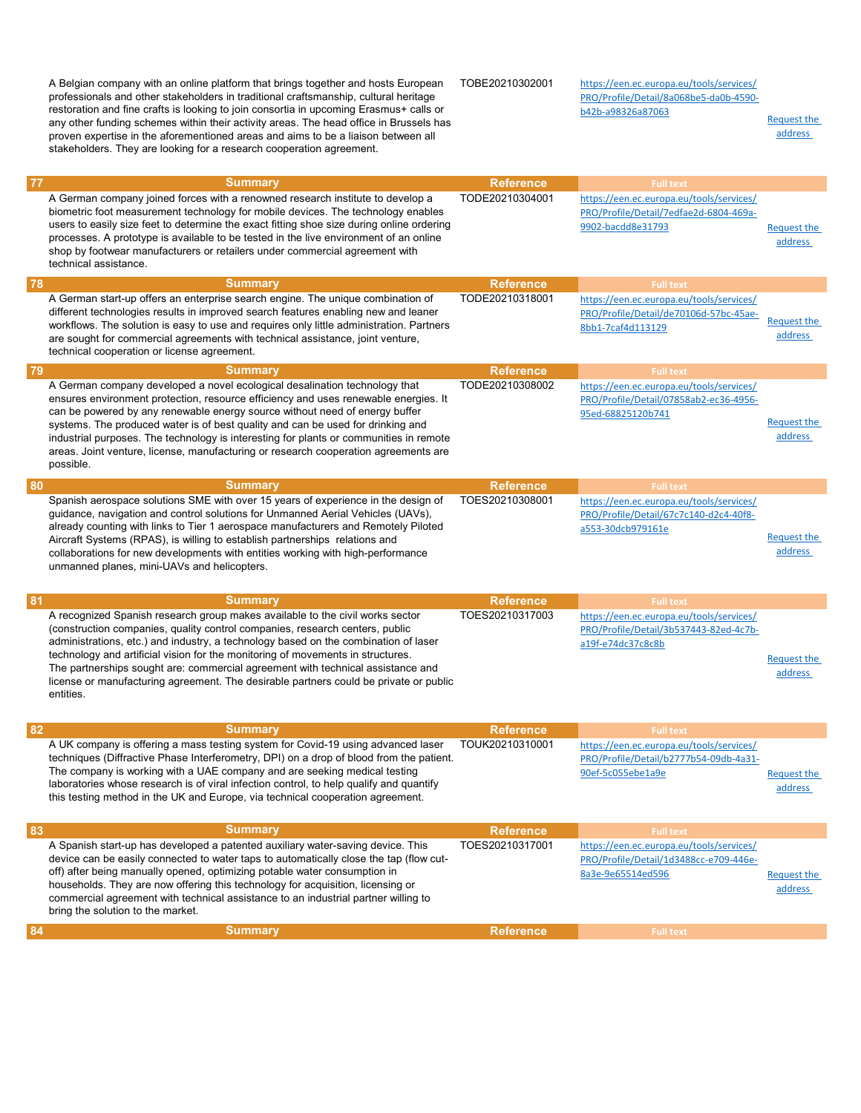|    | A Belgian company with an online platform that brings together and hosts European<br>professionals and other stakeholders in traditional craftsmanship, cultural heritage<br>restoration and fine crafts is looking to join consortia in upcoming Erasmus+ calls or<br>any other funding schemes within their activity areas. The head office in Brussels has<br>proven expertise in the aforementioned areas and aims to be a liaison between all<br>stakeholders. They are looking for a research cooperation agreement.        | TOBE20210302001  | https://een.ec.europa.eu/tools/services/<br>PRO/Profile/Detail/8a068be5-da0b-4590-<br>b42b-a98326a87063 | <b>Request the</b><br>address |
|----|-----------------------------------------------------------------------------------------------------------------------------------------------------------------------------------------------------------------------------------------------------------------------------------------------------------------------------------------------------------------------------------------------------------------------------------------------------------------------------------------------------------------------------------|------------------|---------------------------------------------------------------------------------------------------------|-------------------------------|
| 77 | <b>Summary</b>                                                                                                                                                                                                                                                                                                                                                                                                                                                                                                                    | <b>Reference</b> | <b>Full text</b>                                                                                        |                               |
|    | A German company joined forces with a renowned research institute to develop a<br>biometric foot measurement technology for mobile devices. The technology enables<br>users to easily size feet to determine the exact fitting shoe size during online ordering<br>processes. A prototype is available to be tested in the live environment of an online<br>shop by footwear manufacturers or retailers under commercial agreement with<br>technical assistance.                                                                  | TODE20210304001  | https://een.ec.europa.eu/tools/services/<br>PRO/Profile/Detail/7edfae2d-6804-469a-<br>9902-bacdd8e31793 | Request the<br>address        |
| 78 | <b>Summary</b>                                                                                                                                                                                                                                                                                                                                                                                                                                                                                                                    | <b>Reference</b> | <b>Full text</b>                                                                                        |                               |
|    | A German start-up offers an enterprise search engine. The unique combination of<br>different technologies results in improved search features enabling new and leaner<br>workflows. The solution is easy to use and requires only little administration. Partners<br>are sought for commercial agreements with technical assistance, joint venture,<br>technical cooperation or license agreement.                                                                                                                                | TODE20210318001  | https://een.ec.europa.eu/tools/services/<br>PRO/Profile/Detail/de70106d-57bc-45ae-<br>8bb1-7caf4d113129 | <b>Request the</b><br>address |
| 79 | <b>Summary</b>                                                                                                                                                                                                                                                                                                                                                                                                                                                                                                                    | <b>Reference</b> | <b>Full text</b>                                                                                        |                               |
|    | A German company developed a novel ecological desalination technology that<br>ensures environment protection, resource efficiency and uses renewable energies. It<br>can be powered by any renewable energy source without need of energy buffer<br>systems. The produced water is of best quality and can be used for drinking and<br>industrial purposes. The technology is interesting for plants or communities in remote<br>areas. Joint venture, license, manufacturing or research cooperation agreements are<br>possible. | TODE20210308002  | https://een.ec.europa.eu/tools/services/<br>PRO/Profile/Detail/07858ab2-ec36-4956-<br>95ed-68825120b741 | <b>Request the</b><br>address |
| 80 | <b>Summary</b>                                                                                                                                                                                                                                                                                                                                                                                                                                                                                                                    | <b>Reference</b> | <b>Full text</b>                                                                                        |                               |
|    | Spanish aerospace solutions SME with over 15 years of experience in the design of<br>guidance, navigation and control solutions for Unmanned Aerial Vehicles (UAVs),<br>already counting with links to Tier 1 aerospace manufacturers and Remotely Piloted<br>Aircraft Systems (RPAS), is willing to establish partnerships relations and<br>collaborations for new developments with entities working with high-performance<br>unmanned planes, mini-UAVs and helicopters.                                                       | TOES20210308001  | https://een.ec.europa.eu/tools/services/<br>PRO/Profile/Detail/67c7c140-d2c4-40f8-<br>a553-30dcb979161e | <b>Request the</b><br>address |
| 81 | <b>Summary</b>                                                                                                                                                                                                                                                                                                                                                                                                                                                                                                                    | <b>Reference</b> | <b>Full text</b>                                                                                        |                               |
|    | A recognized Spanish research group makes available to the civil works sector<br>(construction companies, quality control companies, research centers, public<br>administrations, etc.) and industry, a technology based on the combination of laser<br>technology and artificial vision for the monitoring of movements in structures.<br>The partnerships sought are: commercial agreement with technical assistance and<br>license or manufacturing agreement. The desirable partners could be private or public<br>entities.  | TOES20210317003  | https://een.ec.europa.eu/tools/services/<br>PRO/Profile/Detail/3b537443-82ed-4c7b-<br>a19f-e74dc37c8c8b | Request the<br>address        |
| 82 | <b>Summary</b>                                                                                                                                                                                                                                                                                                                                                                                                                                                                                                                    | <b>Reference</b> | <b>Full text</b>                                                                                        |                               |
|    | A UK company is offering a mass testing system for Covid-19 using advanced laser<br>techniques (Diffractive Phase Interferometry, DPI) on a drop of blood from the patient.<br>The company is working with a UAE company and are seeking medical testing<br>laboratories whose research is of viral infection control, to help qualify and quantify<br>this testing method in the UK and Europe, via technical cooperation agreement.                                                                                             | TOUK20210310001  | https://een.ec.europa.eu/tools/services/<br>PRO/Profile/Detail/b2777b54-09db-4a31-<br>90ef-5c055ebe1a9e | Request the<br>address        |
| 83 | <b>Summary</b>                                                                                                                                                                                                                                                                                                                                                                                                                                                                                                                    | <b>Reference</b> | <b>Full text</b>                                                                                        |                               |
|    | A Spanish start-up has developed a patented auxiliary water-saving device. This<br>device can be easily connected to water taps to automatically close the tap (flow cut-<br>off) after being manually opened, optimizing potable water consumption in<br>households. They are now offering this technology for acquisition, licensing or<br>commercial agreement with technical assistance to an industrial partner willing to<br>bring the solution to the market.                                                              | TOES20210317001  | https://een.ec.europa.eu/tools/services/<br>PRO/Profile/Detail/1d3488cc-e709-446e-<br>8a3e-9e65514ed596 | <b>Request the</b><br>address |
| 84 | <b>Summary</b>                                                                                                                                                                                                                                                                                                                                                                                                                                                                                                                    | <b>Reference</b> | <b>Full text</b>                                                                                        |                               |
|    |                                                                                                                                                                                                                                                                                                                                                                                                                                                                                                                                   |                  |                                                                                                         |                               |